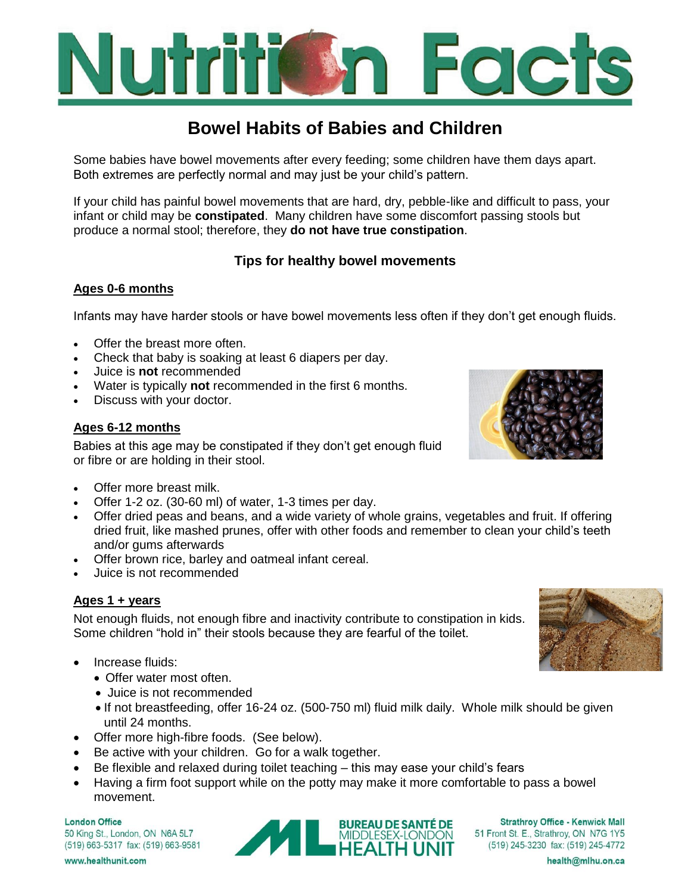

# **Bowel Habits of Babies and Children**

Some babies have bowel movements after every feeding; some children have them days apart. Both extremes are perfectly normal and may just be your child's pattern.

If your child has painful bowel movements that are hard, dry, pebble-like and difficult to pass, your infant or child may be **constipated**. Many children have some discomfort passing stools but produce a normal stool; therefore, they **do not have true constipation**.

# **Tips for healthy bowel movements**

## **Ages 0-6 months**

Infants may have harder stools or have bowel movements less often if they don't get enough fluids.

- Offer the breast more often.
- Check that baby is soaking at least 6 diapers per day.
- Juice is **not** recommended
- Water is typically **not** recommended in the first 6 months.
- Discuss with your doctor.

### **Ages 6-12 months**

Babies at this age may be constipated if they don't get enough fluid or fibre or are holding in their stool.



- Offer more breast milk.
- Offer 1-2 oz. (30-60 ml) of water, 1-3 times per day.
- Offer dried peas and beans, and a wide variety of whole grains, vegetables and fruit. If offering dried fruit, like mashed prunes, offer with other foods and remember to clean your child's teeth and/or gums afterwards
- Offer brown rice, barley and oatmeal infant cereal.
- Juice is not recommended

### **Ages 1 + years**

Not enough fluids, not enough fibre and inactivity contribute to constipation in kids. Some children "hold in" their stools because they are fearful of the toilet.

- Increase fluids:
	- Offer water most often.
	- Juice is not recommended
	- If not breastfeeding, offer 16-24 oz. (500-750 ml) fluid milk daily. Whole milk should be given until 24 months.
- Offer more high-fibre foods. (See below).
- Be active with your children. Go for a walk together.
- Be flexible and relaxed during toilet teaching this may ease your child's fears
- Having a firm foot support while on the potty may make it more comfortable to pass a bowel movement.

**London Office** 50 King St., London, ON N6A 5L7 (519) 663-5317 fax: (519) 663-9581



**Strathroy Office - Kenwick Mall** 51 Front St. E., Strathroy, ON N7G 1Y5 (519) 245-3230 fax: (519) 245-4772

www.healthunit.com